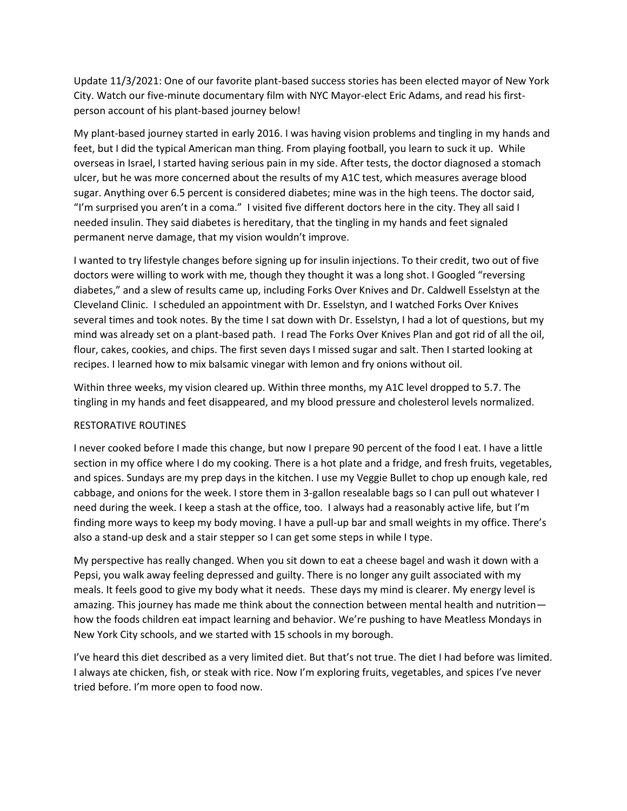Update 11/3/2021: One of our favorite plant-based success stories has been elected mayor of New York City. Watch our five-minute documentary film with NYC Mayor-elect Eric Adams, and read his firstperson account of his plant-based journey below!

My plant-based journey started in early 2016. I was having vision problems and tingling in my hands and feet, but I did the typical American man thing. From playing football, you learn to suck it up. While overseas in Israel, I started having serious pain in my side. After tests, the doctor diagnosed a stomach ulcer, but he was more concerned about the results of my A1C test, which measures average blood sugar. Anything over 6.5 percent is considered diabetes; mine was in the high teens. The doctor said, "I'm surprised you aren't in a coma." I visited five different doctors here in the city. They all said I needed insulin. They said diabetes is hereditary, that the tingling in my hands and feet signaled permanent nerve damage, that my vision wouldn't improve.

I wanted to try lifestyle changes before signing up for insulin injections. To their credit, two out of five doctors were willing to work with me, though they thought it was a long shot. I Googled "reversing diabetes," and a slew of results came up, including Forks Over Knives and Dr. Caldwell Esselstyn at the Cleveland Clinic. I scheduled an appointment with Dr. Esselstyn, and I watched Forks Over Knives several times and took notes. By the time I sat down with Dr. Esselstyn, I had a lot of questions, but my mind was already set on a plant-based path. I read The Forks Over Knives Plan and got rid of all the oil, flour, cakes, cookies, and chips. The first seven days I missed sugar and salt. Then I started looking at recipes. I learned how to mix balsamic vinegar with lemon and fry onions without oil.

Within three weeks, my vision cleared up. Within three months, my A1C level dropped to 5.7. The tingling in my hands and feet disappeared, and my blood pressure and cholesterol levels normalized.

## RESTORATIVE ROUTINES

I never cooked before I made this change, but now I prepare 90 percent of the food I eat. I have a little section in my office where I do my cooking. There is a hot plate and a fridge, and fresh fruits, vegetables, and spices. Sundays are my prep days in the kitchen. I use my Veggie Bullet to chop up enough kale, red cabbage, and onions for the week. I store them in 3-gallon resealable bags so I can pull out whatever I need during the week. I keep a stash at the office, too. I always had a reasonably active life, but I'm finding more ways to keep my body moving. I have a pull-up bar and small weights in my office. There's also a stand-up desk and a stair stepper so I can get some steps in while I type.

My perspective has really changed. When you sit down to eat a cheese bagel and wash it down with a Pepsi, you walk away feeling depressed and guilty. There is no longer any guilt associated with my meals. It feels good to give my body what it needs. These days my mind is clearer. My energy level is amazing. This journey has made me think about the connection between mental health and nutrition how the foods children eat impact learning and behavior. We're pushing to have Meatless Mondays in New York City schools, and we started with 15 schools in my borough.

I've heard this diet described as a very limited diet. But that's not true. The diet I had before was limited. I always ate chicken, fish, or steak with rice. Now I'm exploring fruits, vegetables, and spices I've never tried before. I'm more open to food now.